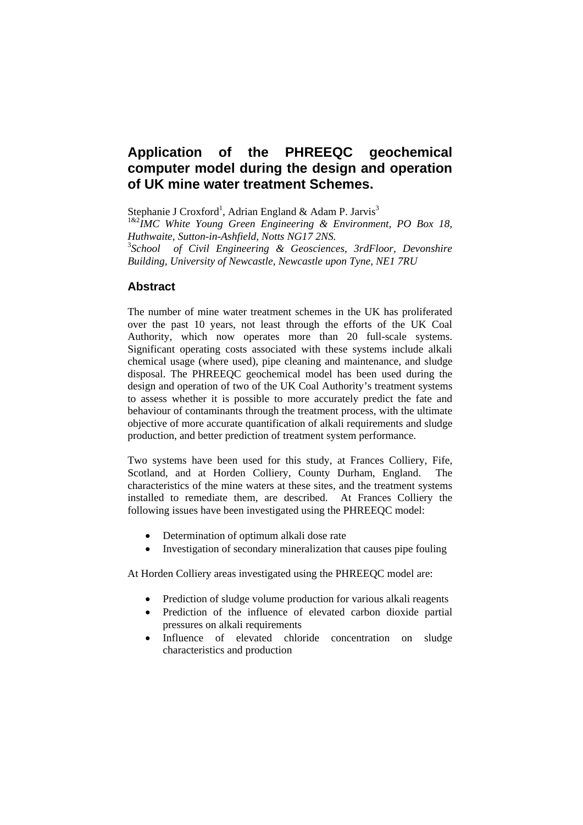# **Application of the PHREEQC geochemical computer model during the design and operation of UK mine water treatment Schemes.**

Stephanie J Croxford<sup>1</sup>, Adrian England & Adam P. Jarvis<sup>3</sup>

1&2*IMC White Young Green Engineering & Environment, PO Box 18, Huthwaite, Sutton-in-Ashfield, Notts NG17 2NS.*  3 *School of Civil Engineering & Geosciences, 3rdFloor, Devonshire* 

*Building, University of Newcastle, Newcastle upon Tyne, NE1 7RU* 

# **Abstract**

The number of mine water treatment schemes in the UK has proliferated over the past 10 years, not least through the efforts of the UK Coal Authority, which now operates more than 20 full-scale systems. Significant operating costs associated with these systems include alkali chemical usage (where used), pipe cleaning and maintenance, and sludge disposal. The PHREEQC geochemical model has been used during the design and operation of two of the UK Coal Authority's treatment systems to assess whether it is possible to more accurately predict the fate and behaviour of contaminants through the treatment process, with the ultimate objective of more accurate quantification of alkali requirements and sludge production, and better prediction of treatment system performance.

Two systems have been used for this study, at Frances Colliery, Fife, Scotland, and at Horden Colliery, County Durham, England. The characteristics of the mine waters at these sites, and the treatment systems installed to remediate them, are described. At Frances Colliery the following issues have been investigated using the PHREEQC model:

- Determination of optimum alkali dose rate
- Investigation of secondary mineralization that causes pipe fouling

At Horden Colliery areas investigated using the PHREEQC model are:

- Prediction of sludge volume production for various alkali reagents
- Prediction of the influence of elevated carbon dioxide partial pressures on alkali requirements
- Influence of elevated chloride concentration on sludge characteristics and production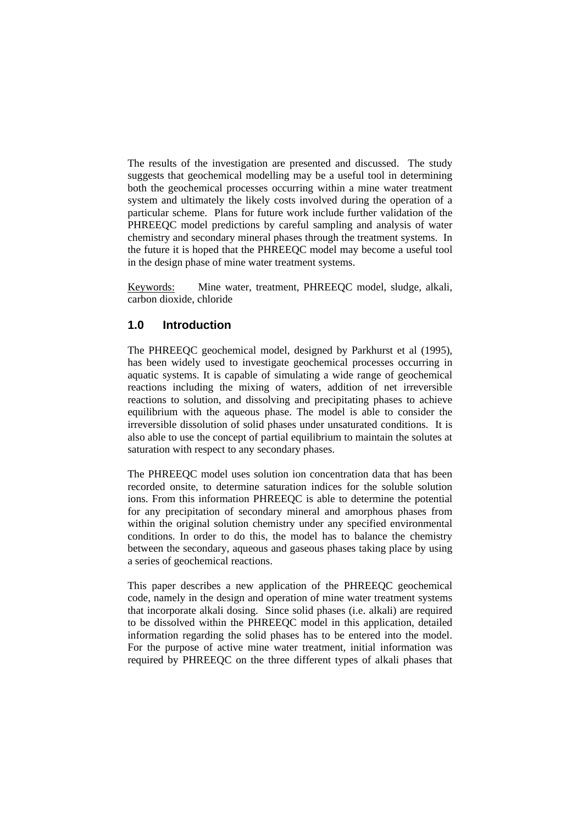The results of the investigation are presented and discussed. The study suggests that geochemical modelling may be a useful tool in determining both the geochemical processes occurring within a mine water treatment system and ultimately the likely costs involved during the operation of a particular scheme. Plans for future work include further validation of the PHREEQC model predictions by careful sampling and analysis of water chemistry and secondary mineral phases through the treatment systems. In the future it is hoped that the PHREEQC model may become a useful tool in the design phase of mine water treatment systems.

Keywords: Mine water, treatment, PHREEQC model, sludge, alkali, carbon dioxide, chloride

# **1.0 Introduction**

The PHREEQC geochemical model, designed by Parkhurst et al (1995), has been widely used to investigate geochemical processes occurring in aquatic systems. It is capable of simulating a wide range of geochemical reactions including the mixing of waters, addition of net irreversible reactions to solution, and dissolving and precipitating phases to achieve equilibrium with the aqueous phase. The model is able to consider the irreversible dissolution of solid phases under unsaturated conditions. It is also able to use the concept of partial equilibrium to maintain the solutes at saturation with respect to any secondary phases.

The PHREEQC model uses solution ion concentration data that has been recorded onsite, to determine saturation indices for the soluble solution ions. From this information PHREEQC is able to determine the potential for any precipitation of secondary mineral and amorphous phases from within the original solution chemistry under any specified environmental conditions. In order to do this, the model has to balance the chemistry between the secondary, aqueous and gaseous phases taking place by using a series of geochemical reactions.

This paper describes a new application of the PHREEQC geochemical code, namely in the design and operation of mine water treatment systems that incorporate alkali dosing. Since solid phases (i.e. alkali) are required to be dissolved within the PHREEQC model in this application, detailed information regarding the solid phases has to be entered into the model. For the purpose of active mine water treatment, initial information was required by PHREEQC on the three different types of alkali phases that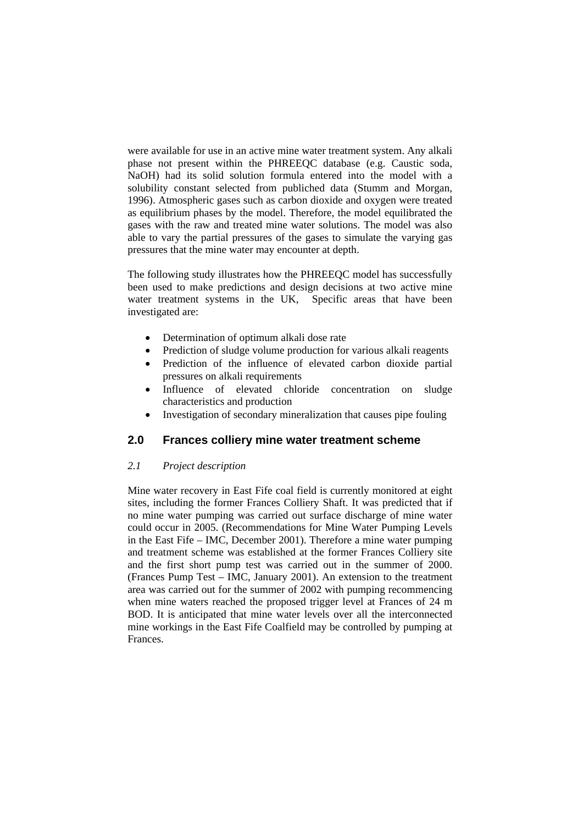were available for use in an active mine water treatment system. Any alkali phase not present within the PHREEQC database (e.g. Caustic soda, NaOH) had its solid solution formula entered into the model with a solubility constant selected from publiched data (Stumm and Morgan, 1996). Atmospheric gases such as carbon dioxide and oxygen were treated as equilibrium phases by the model. Therefore, the model equilibrated the gases with the raw and treated mine water solutions. The model was also able to vary the partial pressures of the gases to simulate the varying gas pressures that the mine water may encounter at depth.

The following study illustrates how the PHREEQC model has successfully been used to make predictions and design decisions at two active mine water treatment systems in the UK, Specific areas that have been investigated are:

- Determination of optimum alkali dose rate
- Prediction of sludge volume production for various alkali reagents
- Prediction of the influence of elevated carbon dioxide partial pressures on alkali requirements
- Influence of elevated chloride concentration on sludge characteristics and production
- Investigation of secondary mineralization that causes pipe fouling

## **2.0 Frances colliery mine water treatment scheme**

#### *2.1 Project description*

Mine water recovery in East Fife coal field is currently monitored at eight sites, including the former Frances Colliery Shaft. It was predicted that if no mine water pumping was carried out surface discharge of mine water could occur in 2005. (Recommendations for Mine Water Pumping Levels in the East Fife – IMC, December 2001). Therefore a mine water pumping and treatment scheme was established at the former Frances Colliery site and the first short pump test was carried out in the summer of 2000. (Frances Pump Test – IMC, January 2001). An extension to the treatment area was carried out for the summer of 2002 with pumping recommencing when mine waters reached the proposed trigger level at Frances of 24 m BOD. It is anticipated that mine water levels over all the interconnected mine workings in the East Fife Coalfield may be controlled by pumping at Frances.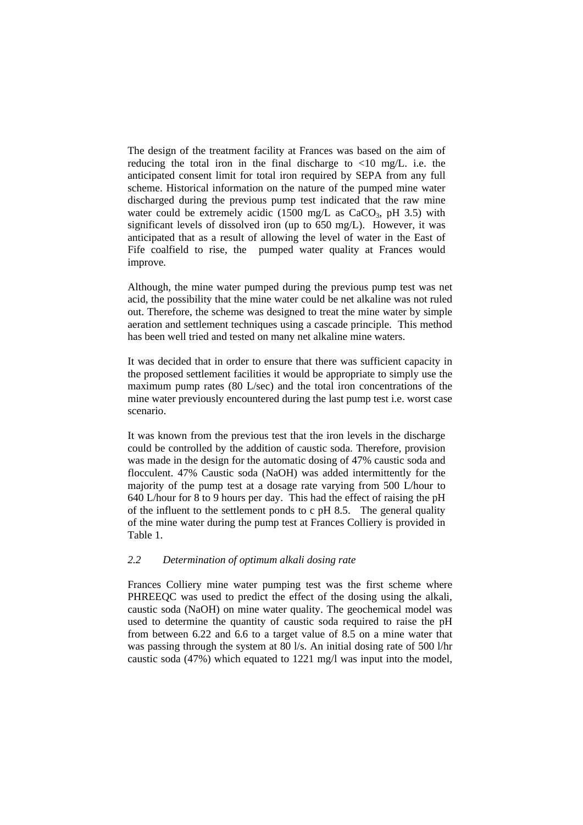The design of the treatment facility at Frances was based on the aim of reducing the total iron in the final discharge to  $\langle 10 \text{ mg/L} \rangle$  i.e. the anticipated consent limit for total iron required by SEPA from any full scheme. Historical information on the nature of the pumped mine water discharged during the previous pump test indicated that the raw mine water could be extremely acidic (1500 mg/L as  $CaCO<sub>3</sub>$ , pH 3.5) with significant levels of dissolved iron (up to 650 mg/L). However, it was anticipated that as a result of allowing the level of water in the East of Fife coalfield to rise, the pumped water quality at Frances would improve*.* 

Although, the mine water pumped during the previous pump test was net acid, the possibility that the mine water could be net alkaline was not ruled out. Therefore, the scheme was designed to treat the mine water by simple aeration and settlement techniques using a cascade principle. This method has been well tried and tested on many net alkaline mine waters.

It was decided that in order to ensure that there was sufficient capacity in the proposed settlement facilities it would be appropriate to simply use the maximum pump rates (80 L/sec) and the total iron concentrations of the mine water previously encountered during the last pump test i.e. worst case scenario.

It was known from the previous test that the iron levels in the discharge could be controlled by the addition of caustic soda. Therefore, provision was made in the design for the automatic dosing of 47% caustic soda and flocculent. 47% Caustic soda (NaOH) was added intermittently for the majority of the pump test at a dosage rate varying from 500 L/hour to 640 L/hour for 8 to 9 hours per day. This had the effect of raising the pH of the influent to the settlement ponds to c pH 8.5. The general quality of the mine water during the pump test at Frances Colliery is provided in Table 1.

# *2.2 Determination of optimum alkali dosing rate*

Frances Colliery mine water pumping test was the first scheme where PHREEQC was used to predict the effect of the dosing using the alkali, caustic soda (NaOH) on mine water quality. The geochemical model was used to determine the quantity of caustic soda required to raise the pH from between 6.22 and 6.6 to a target value of 8.5 on a mine water that was passing through the system at 80 l/s. An initial dosing rate of 500 l/hr caustic soda (47%) which equated to 1221 mg/l was input into the model,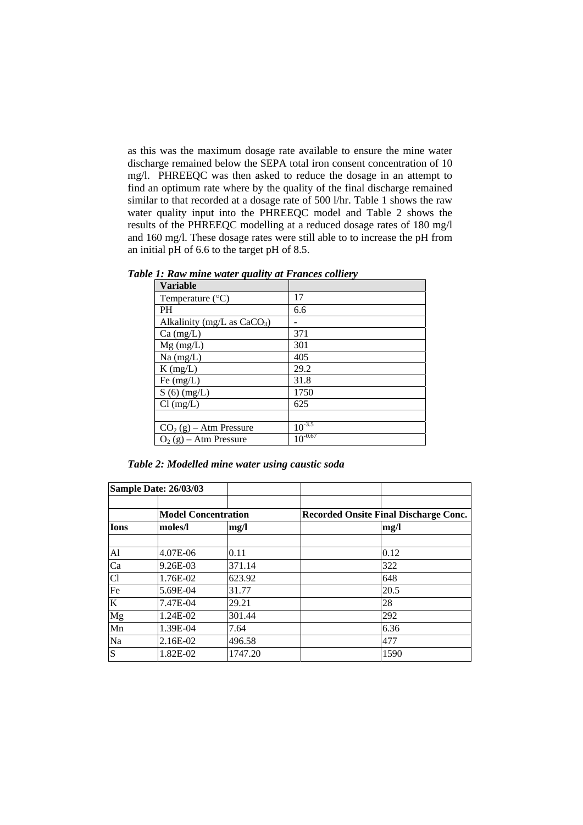as this was the maximum dosage rate available to ensure the mine water discharge remained below the SEPA total iron consent concentration of 10 mg/l. PHREEQC was then asked to reduce the dosage in an attempt to find an optimum rate where by the quality of the final discharge remained similar to that recorded at a dosage rate of 500 l/hr. Table 1 shows the raw water quality input into the PHREEQC model and Table 2 shows the results of the PHREEQC modelling at a reduced dosage rates of 180 mg/l and 160 mg/l. These dosage rates were still able to to increase the pH from an initial pH of 6.6 to the target pH of 8.5.

| <b>Variable</b>                         |              |
|-----------------------------------------|--------------|
| Temperature $(^{\circ}C)$               | 17           |
| PH                                      | 6.6          |
| Alkalinity (mg/L as CaCO <sub>3</sub> ) |              |
| $Ca$ (mg/L)                             | 371          |
| $Mg$ (mg/L)                             | 301          |
| Na (mg/L)                               | 405          |
| $K$ (mg/L)                              | 29.2         |
| Fe $(mg/L)$                             | 31.8         |
| $S(6)$ (mg/L)                           | 1750         |
| $Cl$ (mg/L)                             | 625          |
|                                         |              |
| $CO2(g) - Atm$ Pressure                 | $10^{-3.5}$  |
| $O_2(g)$ – Atm Pressure                 | $10^{-0.67}$ |

*Table 1: Raw mine water quality at Frances colliery* 

|  | Table 2: Modelled mine water using caustic soda |  |  |  |
|--|-------------------------------------------------|--|--|--|
|  |                                                 |  |  |  |

|             | <b>Sample Date: 26/03/03</b> |         |                                              |
|-------------|------------------------------|---------|----------------------------------------------|
|             | <b>Model Concentration</b>   |         | <b>Recorded Onsite Final Discharge Conc.</b> |
| <b>Ions</b> | moles/l                      | mg/l    | mg/l                                         |
| Al          | 4.07E-06                     | 0.11    | 0.12                                         |
| Ca          | 9.26E-03                     | 371.14  | 322                                          |
| Cl          | 1.76E-02                     | 623.92  | 648                                          |
| Fe          | 5.69E-04                     | 31.77   | 20.5                                         |
| $\bf K$     | 7.47E-04                     | 29.21   | 28                                           |
| Mg          | 1.24E-02                     | 301.44  | 292                                          |
| Mn          | 1.39E-04                     | 7.64    | 6.36                                         |
| Na          | 2.16E-02                     | 496.58  | 477                                          |
| S           | 1.82E-02                     | 1747.20 | 1590                                         |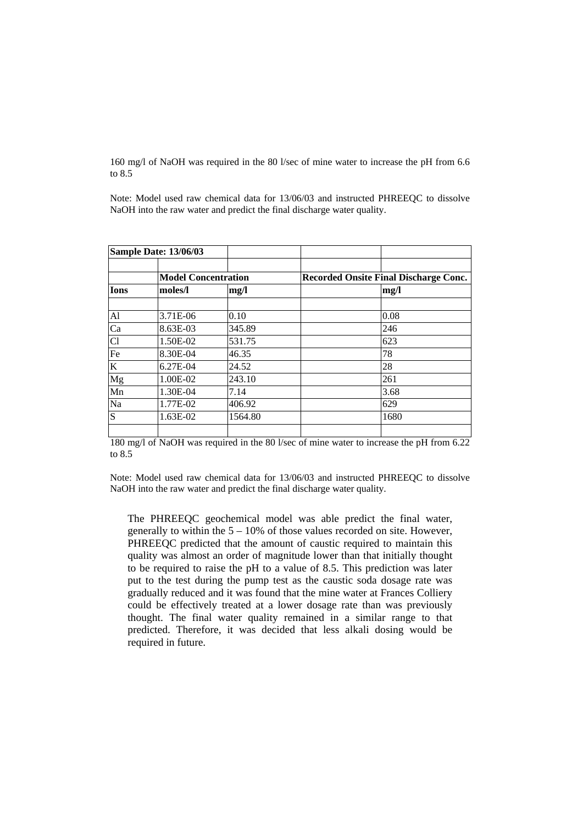160 mg/l of NaOH was required in the 80 l/sec of mine water to increase the pH from 6.6 to 8.5

Note: Model used raw chemical data for 13/06/03 and instructed PHREEQC to dissolve NaOH into the raw water and predict the final discharge water quality.

| <b>Sample Date: 13/06/03</b> |                            |         |                                              |
|------------------------------|----------------------------|---------|----------------------------------------------|
|                              | <b>Model Concentration</b> |         | <b>Recorded Onsite Final Discharge Conc.</b> |
| <b>Ions</b>                  | moles/l                    | mg/l    | mg/l                                         |
|                              |                            |         |                                              |
| Al                           | 3.71E-06                   | 0.10    | 0.08                                         |
| Ca                           | 8.63E-03                   | 345.89  | 246                                          |
| Cl                           | 1.50E-02                   | 531.75  | 623                                          |
| Fe                           | 8.30E-04                   | 46.35   | 78                                           |
| K                            | 6.27E-04                   | 24.52   | 28                                           |
| Mg                           | 1.00E-02                   | 243.10  | 261                                          |
| Mn                           | 1.30E-04                   | 7.14    | 3.68                                         |
| Na                           | 1.77E-02                   | 406.92  | 629                                          |
| S                            | 1.63E-02                   | 1564.80 | 1680                                         |
|                              |                            |         |                                              |

180 mg/l of NaOH was required in the 80 l/sec of mine water to increase the pH from 6.22 to 8.5

Note: Model used raw chemical data for 13/06/03 and instructed PHREEQC to dissolve NaOH into the raw water and predict the final discharge water quality.

The PHREEQC geochemical model was able predict the final water, generally to within the  $5 - 10\%$  of those values recorded on site. However, PHREEQC predicted that the amount of caustic required to maintain this quality was almost an order of magnitude lower than that initially thought to be required to raise the pH to a value of 8.5. This prediction was later put to the test during the pump test as the caustic soda dosage rate was gradually reduced and it was found that the mine water at Frances Colliery could be effectively treated at a lower dosage rate than was previously thought. The final water quality remained in a similar range to that predicted. Therefore, it was decided that less alkali dosing would be required in future.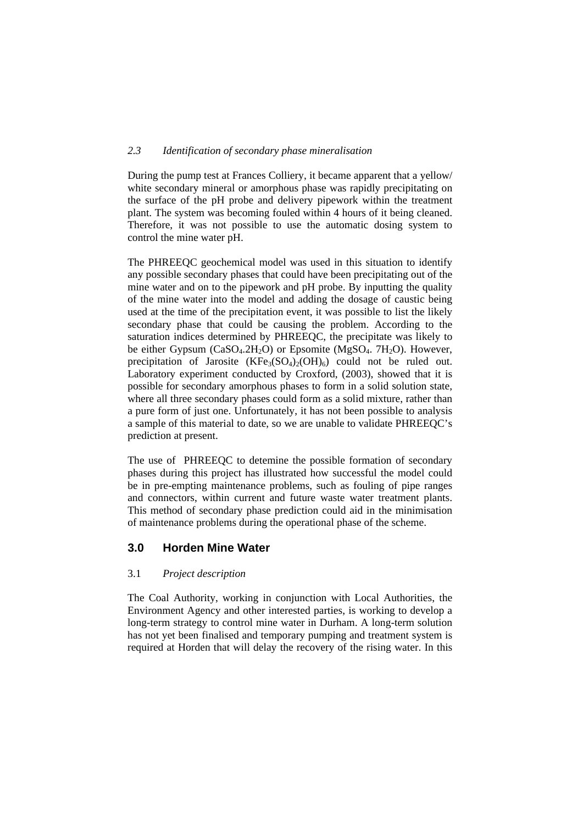#### *2.3 Identification of secondary phase mineralisation*

During the pump test at Frances Colliery, it became apparent that a yellow/ white secondary mineral or amorphous phase was rapidly precipitating on the surface of the pH probe and delivery pipework within the treatment plant. The system was becoming fouled within 4 hours of it being cleaned. Therefore, it was not possible to use the automatic dosing system to control the mine water pH.

The PHREEQC geochemical model was used in this situation to identify any possible secondary phases that could have been precipitating out of the mine water and on to the pipework and pH probe. By inputting the quality of the mine water into the model and adding the dosage of caustic being used at the time of the precipitation event, it was possible to list the likely secondary phase that could be causing the problem. According to the saturation indices determined by PHREEQC, the precipitate was likely to be either Gypsum  $(CaSO<sub>4</sub>.2H<sub>2</sub>O)$  or Epsomite (MgSO<sub>4</sub>, 7H<sub>2</sub>O). However, precipitation of Jarosite  $(KFe<sub>3</sub>(SO<sub>4</sub>)/(OH)<sub>6</sub>)$  could not be ruled out. Laboratory experiment conducted by Croxford, (2003), showed that it is possible for secondary amorphous phases to form in a solid solution state, where all three secondary phases could form as a solid mixture, rather than a pure form of just one. Unfortunately, it has not been possible to analysis a sample of this material to date, so we are unable to validate PHREEQC's prediction at present.

The use of PHREEQC to detemine the possible formation of secondary phases during this project has illustrated how successful the model could be in pre-empting maintenance problems, such as fouling of pipe ranges and connectors, within current and future waste water treatment plants. This method of secondary phase prediction could aid in the minimisation of maintenance problems during the operational phase of the scheme.

## **3.0 Horden Mine Water**

## 3.1 *Project description*

The Coal Authority, working in conjunction with Local Authorities, the Environment Agency and other interested parties, is working to develop a long-term strategy to control mine water in Durham. A long-term solution has not yet been finalised and temporary pumping and treatment system is required at Horden that will delay the recovery of the rising water. In this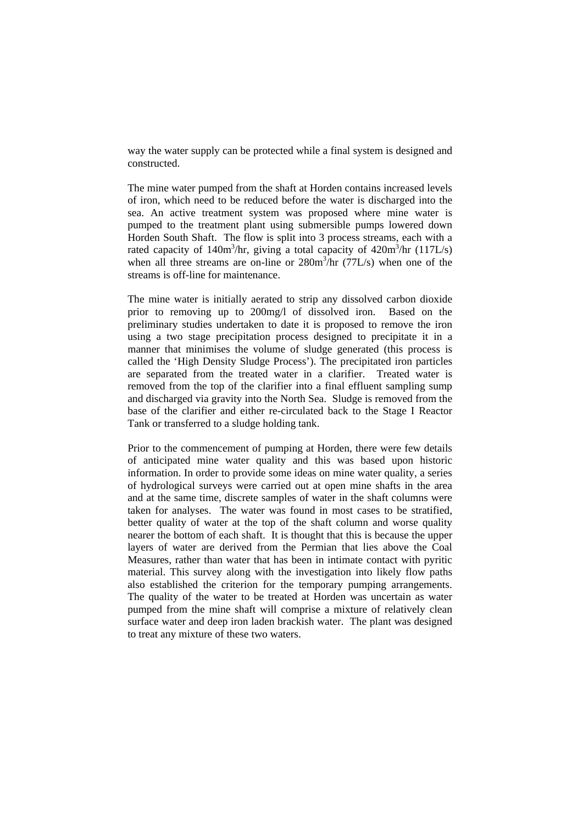way the water supply can be protected while a final system is designed and constructed.

The mine water pumped from the shaft at Horden contains increased levels of iron, which need to be reduced before the water is discharged into the sea. An active treatment system was proposed where mine water is pumped to the treatment plant using submersible pumps lowered down Horden South Shaft. The flow is split into 3 process streams, each with a rated capacity of 140m<sup>3</sup>/hr, giving a total capacity of 420m<sup>3</sup>/hr (117L/s) when all three streams are on-line or  $280m^3/hr$  (77L/s) when one of the streams is off-line for maintenance.

The mine water is initially aerated to strip any dissolved carbon dioxide prior to removing up to 200mg/l of dissolved iron. Based on the preliminary studies undertaken to date it is proposed to remove the iron using a two stage precipitation process designed to precipitate it in a manner that minimises the volume of sludge generated (this process is called the 'High Density Sludge Process'). The precipitated iron particles are separated from the treated water in a clarifier. Treated water is removed from the top of the clarifier into a final effluent sampling sump and discharged via gravity into the North Sea. Sludge is removed from the base of the clarifier and either re-circulated back to the Stage I Reactor Tank or transferred to a sludge holding tank.

Prior to the commencement of pumping at Horden, there were few details of anticipated mine water quality and this was based upon historic information. In order to provide some ideas on mine water quality, a series of hydrological surveys were carried out at open mine shafts in the area and at the same time, discrete samples of water in the shaft columns were taken for analyses. The water was found in most cases to be stratified, better quality of water at the top of the shaft column and worse quality nearer the bottom of each shaft. It is thought that this is because the upper layers of water are derived from the Permian that lies above the Coal Measures, rather than water that has been in intimate contact with pyritic material. This survey along with the investigation into likely flow paths also established the criterion for the temporary pumping arrangements. The quality of the water to be treated at Horden was uncertain as water pumped from the mine shaft will comprise a mixture of relatively clean surface water and deep iron laden brackish water. The plant was designed to treat any mixture of these two waters.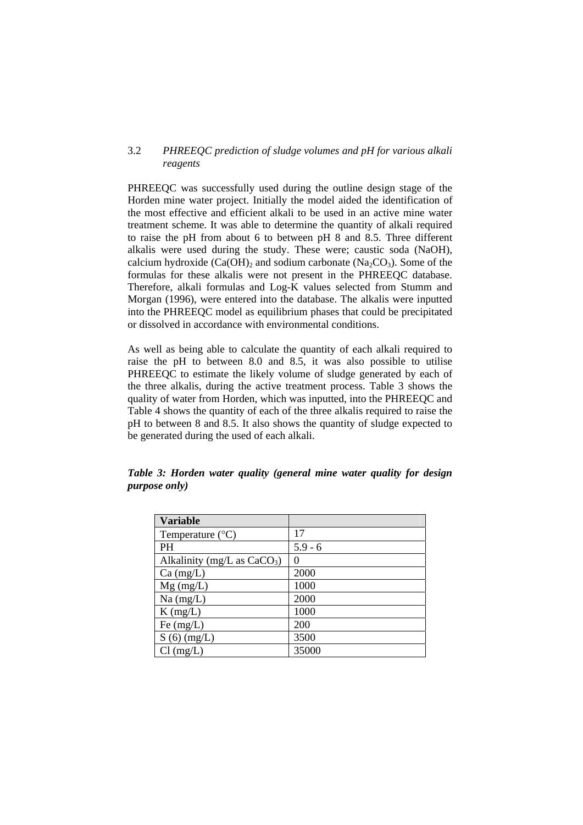#### 3.2 *PHREEQC prediction of sludge volumes and pH for various alkali reagents*

PHREEQC was successfully used during the outline design stage of the Horden mine water project. Initially the model aided the identification of the most effective and efficient alkali to be used in an active mine water treatment scheme. It was able to determine the quantity of alkali required to raise the pH from about 6 to between pH 8 and 8.5. Three different alkalis were used during the study. These were; caustic soda (NaOH), calcium hydroxide  $(Ca(OH)_2)$  and sodium carbonate  $(Na_2CO_3)$ . Some of the formulas for these alkalis were not present in the PHREEQC database. Therefore, alkali formulas and Log-K values selected from Stumm and Morgan (1996), were entered into the database. The alkalis were inputted into the PHREEQC model as equilibrium phases that could be precipitated or dissolved in accordance with environmental conditions.

As well as being able to calculate the quantity of each alkali required to raise the pH to between 8.0 and 8.5, it was also possible to utilise PHREEQC to estimate the likely volume of sludge generated by each of the three alkalis, during the active treatment process. Table 3 shows the quality of water from Horden, which was inputted, into the PHREEQC and Table 4 shows the quantity of each of the three alkalis required to raise the pH to between 8 and 8.5. It also shows the quantity of sludge expected to be generated during the used of each alkali.

| <b>Variable</b>               |           |
|-------------------------------|-----------|
| Temperature $(^{\circ}C)$     | 17        |
| <b>PH</b>                     | $5.9 - 6$ |
| Alkalinity (mg/L as $CaCO3$ ) |           |
| $Ca \, (mg/L)$                | 2000      |
| $Mg$ (mg/L)                   | 1000      |
| $Na$ (mg/L)                   | 2000      |
| $K$ (mg/L)                    | 1000      |
| Fe $(mg/L)$                   | 200       |
| $S(6)$ (mg/L)                 | 3500      |
| $Cl$ (mg/L)                   | 35000     |

*Table 3: Horden water quality (general mine water quality for design purpose only)*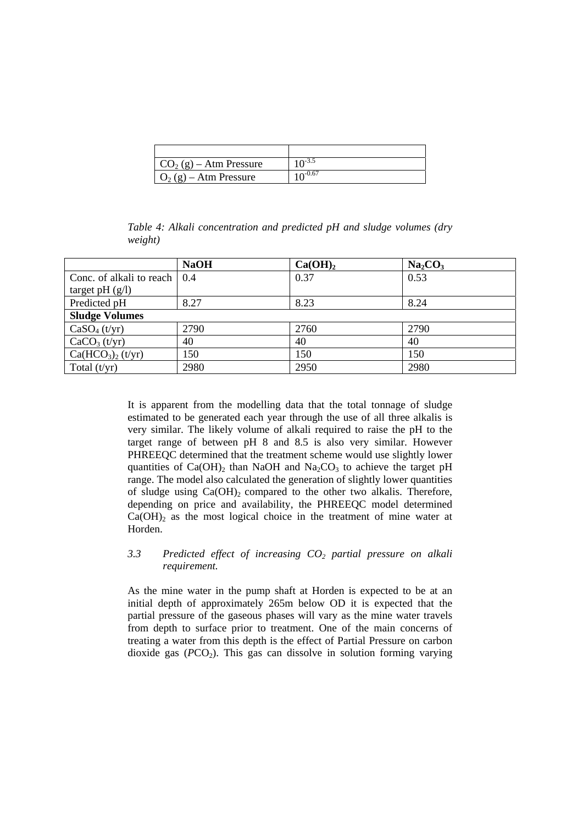| $CO2(g) - Atm$ Pressure | $10^{-3.5}$  |
|-------------------------|--------------|
| $O_2(g)$ – Atm Pressure | $10^{-0.67}$ |

*Table 4: Alkali concentration and predicted pH and sludge volumes (dry weight)* 

|                                           | <b>NaOH</b> | Ca(OH) <sub>2</sub> | Na <sub>2</sub> CO <sub>3</sub> |
|-------------------------------------------|-------------|---------------------|---------------------------------|
| Conc. of alkali to reach   0.4            |             | 0.37                | 0.53                            |
| target pH $(g/l)$                         |             |                     |                                 |
| Predicted pH                              | 8.27        | 8.23                | 8.24                            |
| <b>Sludge Volumes</b>                     |             |                     |                                 |
| CaSO <sub>4</sub> (t/yr)                  | 2790        | 2760                | 2790                            |
| CaCO <sub>3</sub> (t/yr)                  | 40          | 40                  | 40                              |
| Ca(HCO <sub>3</sub> ) <sub>2</sub> (t/yr) | 150         | 150                 | 150                             |
| Total $(t/yr)$                            | 2980        | 2950                | 2980                            |

It is apparent from the modelling data that the total tonnage of sludge estimated to be generated each year through the use of all three alkalis is very similar. The likely volume of alkali required to raise the pH to the target range of between pH 8 and 8.5 is also very similar. However PHREEQC determined that the treatment scheme would use slightly lower quantities of  $Ca(OH)$ <sub>2</sub> than NaOH and Na<sub>2</sub>CO<sub>3</sub> to achieve the target pH range. The model also calculated the generation of slightly lower quantities of sludge using  $Ca(OH)$  compared to the other two alkalis. Therefore, depending on price and availability, the PHREEQC model determined  $Ca(OH)$ <sub>2</sub> as the most logical choice in the treatment of mine water at Horden.

## *3.3 Predicted effect of increasing CO2 partial pressure on alkali requirement.*

As the mine water in the pump shaft at Horden is expected to be at an initial depth of approximately 265m below OD it is expected that the partial pressure of the gaseous phases will vary as the mine water travels from depth to surface prior to treatment. One of the main concerns of treating a water from this depth is the effect of Partial Pressure on carbon dioxide gas  $(PCO<sub>2</sub>)$ . This gas can dissolve in solution forming varying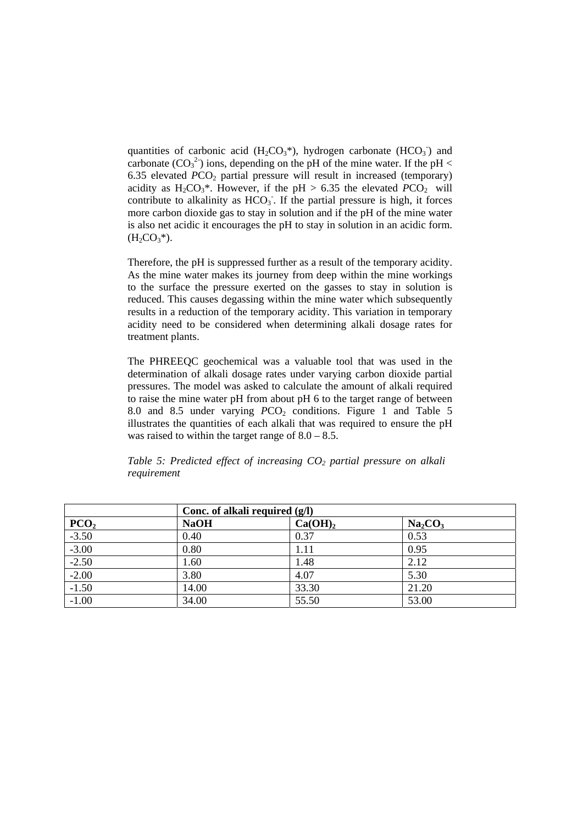quantities of carbonic acid  $(H_2CO_3^*)$ , hydrogen carbonate  $(HCO_3^-)$  and carbonate  $(CO_3^2)$  ions, depending on the pH of the mine water. If the pH < 6.35 elevated  $PCO<sub>2</sub>$  partial pressure will result in increased (temporary) acidity as H<sub>2</sub>CO<sub>3</sub>\*. However, if the pH > 6.35 the elevated  $PCO<sub>2</sub>$  will contribute to alkalinity as  $HCO<sub>3</sub>$ . If the partial pressure is high, it forces more carbon dioxide gas to stay in solution and if the pH of the mine water is also net acidic it encourages the pH to stay in solution in an acidic form.  $(H_2CO_3^*)$ .

Therefore, the pH is suppressed further as a result of the temporary acidity. As the mine water makes its journey from deep within the mine workings to the surface the pressure exerted on the gasses to stay in solution is reduced. This causes degassing within the mine water which subsequently results in a reduction of the temporary acidity. This variation in temporary acidity need to be considered when determining alkali dosage rates for treatment plants.

The PHREEQC geochemical was a valuable tool that was used in the determination of alkali dosage rates under varying carbon dioxide partial pressures. The model was asked to calculate the amount of alkali required to raise the mine water pH from about pH 6 to the target range of between 8.0 and 8.5 under varying *PCO*<sub>2</sub> conditions. Figure 1 and Table 5 illustrates the quantities of each alkali that was required to ensure the pH was raised to within the target range of  $8.0 - 8.5$ .

|                  | Conc. of alkali required (g/l) |                     |                                 |  |  |  |
|------------------|--------------------------------|---------------------|---------------------------------|--|--|--|
| PCO <sub>2</sub> | <b>NaOH</b>                    | Ca(OH) <sub>2</sub> | Na <sub>2</sub> CO <sub>3</sub> |  |  |  |
| $-3.50$          | 0.40                           | 0.37                | 0.53                            |  |  |  |
| $-3.00$          | 0.80                           | 1.11                | 0.95                            |  |  |  |
| $-2.50$          | 1.60                           | 1.48                | 2.12                            |  |  |  |
| $-2.00$          | 3.80                           | 4.07                | 5.30                            |  |  |  |
| $-1.50$          | 14.00                          | 33.30               | 21.20                           |  |  |  |
| $-1.00$          | 34.00                          | 55.50               | 53.00                           |  |  |  |

*Table 5: Predicted effect of increasing CO<sub>2</sub> partial pressure on alkali requirement*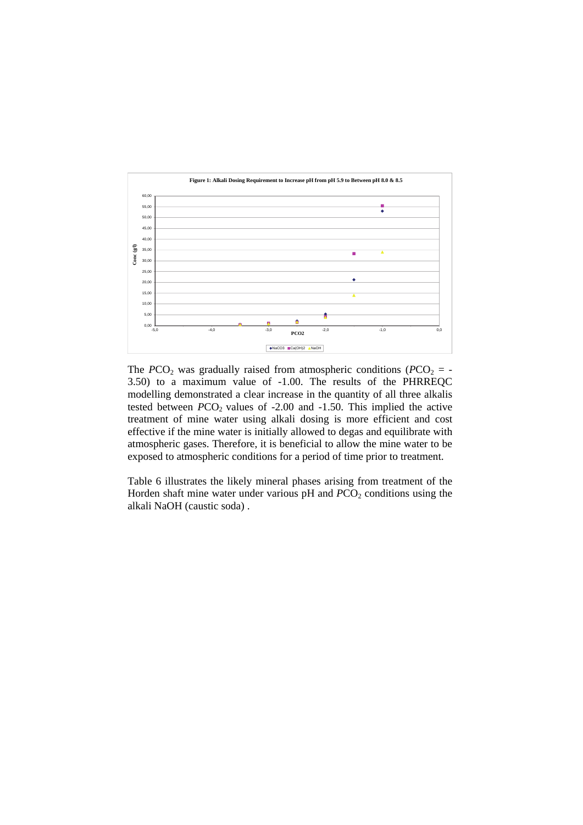

The  $PCO_2$  was gradually raised from atmospheric conditions ( $PCO_2$  = -3.50) to a maximum value of -1.00. The results of the PHRREQC modelling demonstrated a clear increase in the quantity of all three alkalis tested between *PCO*<sub>2</sub> values of -2.00 and -1.50. This implied the active treatment of mine water using alkali dosing is more efficient and cost effective if the mine water is initially allowed to degas and equilibrate with atmospheric gases. Therefore, it is beneficial to allow the mine water to be exposed to atmospheric conditions for a period of time prior to treatment.

Table 6 illustrates the likely mineral phases arising from treatment of the Horden shaft mine water under various  $pH$  and  $PCO<sub>2</sub>$  conditions using the alkali NaOH (caustic soda) .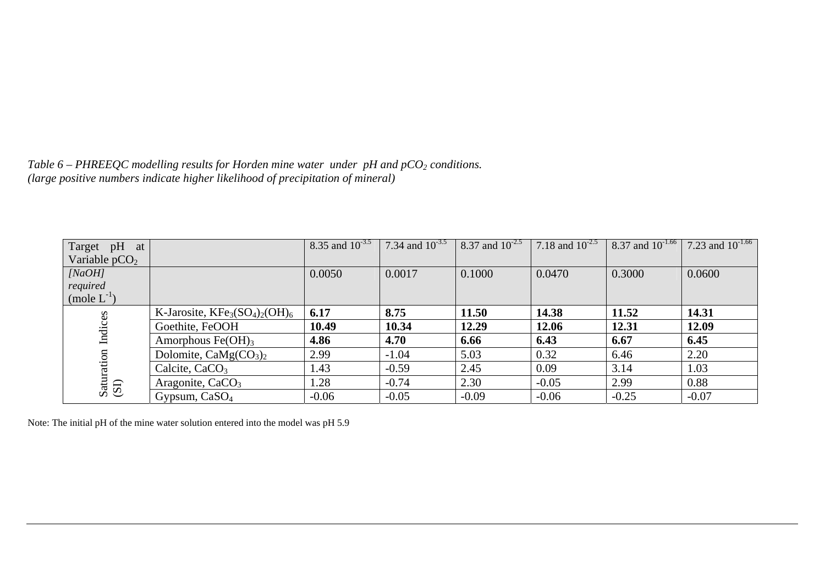*Table 6 – PHREEQC modelling results for Horden mine water under pH and pCO2 conditions. (large positive numbers indicate higher likelihood of precipitation of mineral)* 

| Target pH<br>at    |                               | 8.35 and $\overline{10^{-3.5}}$ | 7.34 and $10^{-3.5}$ | 8.37 and $\overline{10^{-2.5}}$ | 7.18 and $\overline{10^{-2.5}}$ | 8.37 and $\overline{10^{-1.66}}$ | 7.23 and $10^{-1.66}$ |
|--------------------|-------------------------------|---------------------------------|----------------------|---------------------------------|---------------------------------|----------------------------------|-----------------------|
| Variable $pCO2$    |                               |                                 |                      |                                 |                                 |                                  |                       |
| [NaOH]             |                               | 0.0050                          | 0.0017               | 0.1000                          | 0.0470                          | 0.3000                           | 0.0600                |
| required           |                               |                                 |                      |                                 |                                 |                                  |                       |
| $(mole L^{-1})$    |                               |                                 |                      |                                 |                                 |                                  |                       |
|                    | K-Jarosite, $KFe3(SO4)2(OH)6$ | 6.17                            | 8.75                 | 11.50                           | 14.38                           | 11.52                            | 14.31                 |
| Indices            | Goethite, FeOOH               | 10.49                           | 10.34                | 12.29                           | 12.06                           | 12.31                            | 12.09                 |
|                    | Amorphous $Fe(OH)_3$          | 4.86                            | 4.70                 | 6.66                            | 6.43                            | 6.67                             | 6.45                  |
|                    | Dolomite, $CaMg(CO3)2$        | 2.99                            | $-1.04$              | 5.03                            | 0.32                            | 6.46                             | 2.20                  |
| Saturation<br>(SI) | Calcite, $CaCO3$              | 1.43                            | $-0.59$              | 2.45                            | 0.09                            | 3.14                             | 1.03                  |
|                    | Aragonite, CaCO <sub>3</sub>  | 1.28                            | $-0.74$              | 2.30                            | $-0.05$                         | 2.99                             | 0.88                  |
|                    | Gypsum, CaSO <sub>4</sub>     | $-0.06$                         | $-0.05$              | $-0.09$                         | $-0.06$                         | $-0.25$                          | $-0.07$               |

Note: The initial pH of the mine water solution entered into the model was pH 5.9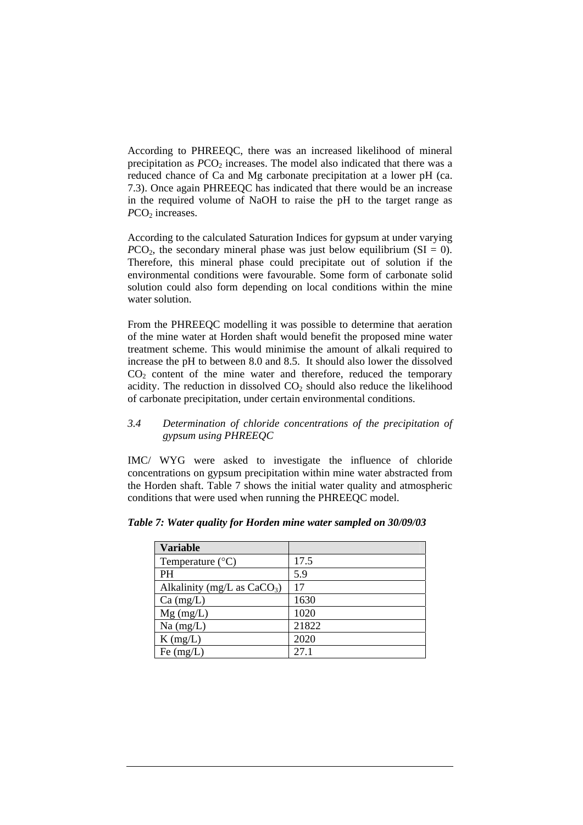According to PHREEQC, there was an increased likelihood of mineral precipitation as  $PCO<sub>2</sub>$  increases. The model also indicated that there was a reduced chance of Ca and Mg carbonate precipitation at a lower pH (ca. 7.3). Once again PHREEQC has indicated that there would be an increase in the required volume of NaOH to raise the pH to the target range as *PCO*<sub>2</sub> increases.

According to the calculated Saturation Indices for gypsum at under varying  $PCO<sub>2</sub>$ , the secondary mineral phase was just below equilibrium (SI = 0). Therefore, this mineral phase could precipitate out of solution if the environmental conditions were favourable. Some form of carbonate solid solution could also form depending on local conditions within the mine water solution.

From the PHREEQC modelling it was possible to determine that aeration of the mine water at Horden shaft would benefit the proposed mine water treatment scheme. This would minimise the amount of alkali required to increase the pH to between 8.0 and 8.5. It should also lower the dissolved  $CO<sub>2</sub>$  content of the mine water and therefore, reduced the temporary acidity. The reduction in dissolved  $CO<sub>2</sub>$  should also reduce the likelihood of carbonate precipitation, under certain environmental conditions.

## *3.4 Determination of chloride concentrations of the precipitation of gypsum using PHREEQC*

IMC/ WYG were asked to investigate the influence of chloride concentrations on gypsum precipitation within mine water abstracted from the Horden shaft. Table 7 shows the initial water quality and atmospheric conditions that were used when running the PHREEQC model.

| <b>Variable</b>               |       |
|-------------------------------|-------|
| Temperature $(^{\circ}C)$     | 17.5  |
| <b>PH</b>                     | 5.9   |
| Alkalinity (mg/L as $CaCO3$ ) | 17    |
| $Ca \, (mg/L)$                | 1630  |
| $Mg$ (mg/L)                   | 1020  |
| $Na$ (mg/L)                   | 21822 |
| $K$ (mg/L)                    | 2020  |
| Fe $(mg/L)$                   | 27.1  |

|  |  |  |  |  |  |  |  |  |  |  |  | Table 7: Water quality for Horden mine water sampled on 30/09/03 |
|--|--|--|--|--|--|--|--|--|--|--|--|------------------------------------------------------------------|
|--|--|--|--|--|--|--|--|--|--|--|--|------------------------------------------------------------------|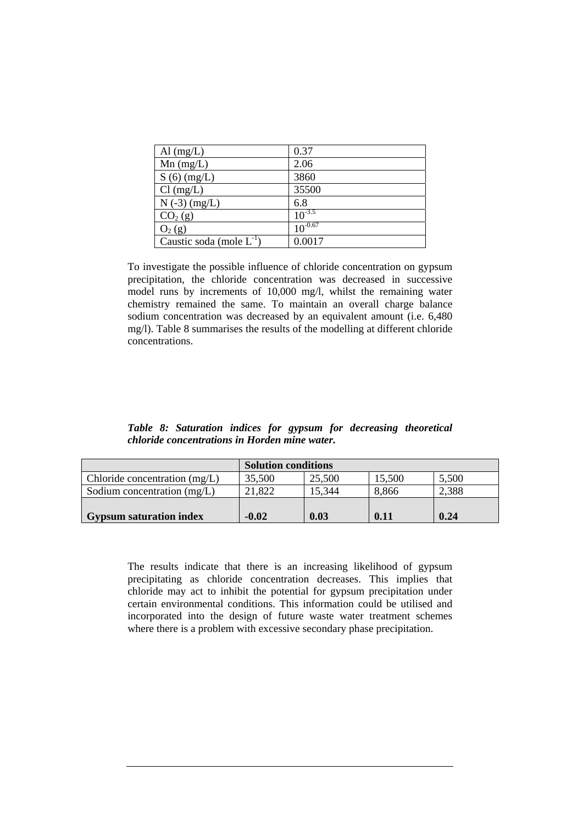| Al $(mg/L)$                   | 0.37         |
|-------------------------------|--------------|
| $Mn$ (mg/L)                   | 2.06         |
| $S(6)$ (mg/L)                 | 3860         |
| $Cl$ (mg/L)                   | 35500        |
| $N(-3)$ (mg/L)                | 6.8          |
| CO <sub>2</sub> (g)           | $10^{-3.5}$  |
| $O_2(g)$                      | $10^{-0.67}$ |
| Caustic soda (mole $L^{-1}$ ) | 0.0017       |

To investigate the possible influence of chloride concentration on gypsum precipitation, the chloride concentration was decreased in successive model runs by increments of 10,000 mg/l, whilst the remaining water chemistry remained the same. To maintain an overall charge balance sodium concentration was decreased by an equivalent amount (i.e. 6,480) mg/l). Table 8 summarises the results of the modelling at different chloride concentrations.

*Table 8: Saturation indices for gypsum for decreasing theoretical chloride concentrations in Horden mine water.* 

|                                 | <b>Solution conditions</b> |        |        |       |
|---------------------------------|----------------------------|--------|--------|-------|
| Chloride concentration $(mg/L)$ | 35,500                     | 25,500 | 15,500 | 5,500 |
| Sodium concentration $(mg/L)$   | 21.822                     | 15.344 | 8,866  | 2,388 |
| <b>Gypsum saturation index</b>  | $-0.02$                    | 0.03   | 0.11   | 0.24  |

The results indicate that there is an increasing likelihood of gypsum precipitating as chloride concentration decreases. This implies that chloride may act to inhibit the potential for gypsum precipitation under certain environmental conditions. This information could be utilised and incorporated into the design of future waste water treatment schemes where there is a problem with excessive secondary phase precipitation.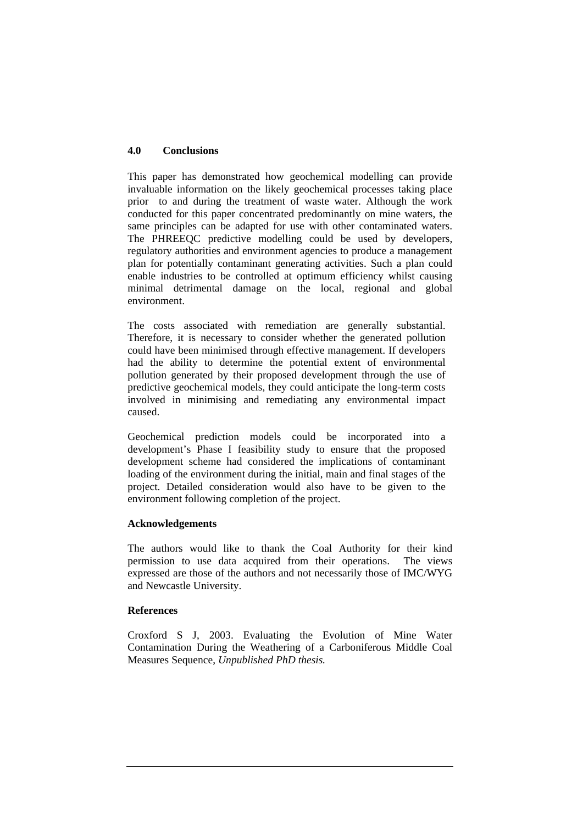#### **4.0 Conclusions**

This paper has demonstrated how geochemical modelling can provide invaluable information on the likely geochemical processes taking place prior to and during the treatment of waste water. Although the work conducted for this paper concentrated predominantly on mine waters, the same principles can be adapted for use with other contaminated waters. The PHREEQC predictive modelling could be used by developers, regulatory authorities and environment agencies to produce a management plan for potentially contaminant generating activities. Such a plan could enable industries to be controlled at optimum efficiency whilst causing minimal detrimental damage on the local, regional and global environment.

The costs associated with remediation are generally substantial. Therefore, it is necessary to consider whether the generated pollution could have been minimised through effective management. If developers had the ability to determine the potential extent of environmental pollution generated by their proposed development through the use of predictive geochemical models, they could anticipate the long-term costs involved in minimising and remediating any environmental impact caused.

Geochemical prediction models could be incorporated into a development's Phase I feasibility study to ensure that the proposed development scheme had considered the implications of contaminant loading of the environment during the initial, main and final stages of the project. Detailed consideration would also have to be given to the environment following completion of the project.

## **Acknowledgements**

The authors would like to thank the Coal Authority for their kind permission to use data acquired from their operations. The views expressed are those of the authors and not necessarily those of IMC/WYG and Newcastle University.

#### **References**

Croxford S J, 2003. Evaluating the Evolution of Mine Water Contamination During the Weathering of a Carboniferous Middle Coal Measures Sequence, *Unpublished PhD thesis.*